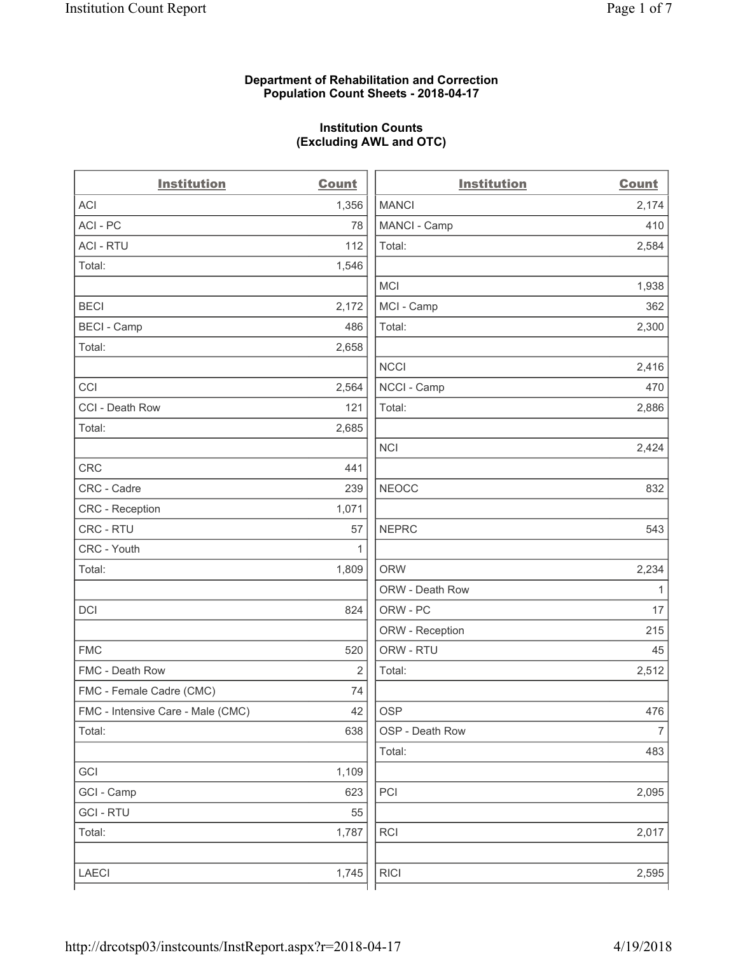## **Department of Rehabilitation and Correction Population Count Sheets - 2018-04-17**

## **Institution Counts (Excluding AWL and OTC)**

| <b>Institution</b>                | <b>Count</b> | <b>Institution</b> | <b>Count</b>   |
|-----------------------------------|--------------|--------------------|----------------|
| ACI                               | 1,356        | <b>MANCI</b>       | 2,174          |
| ACI - PC                          | 78           | MANCI - Camp       | 410            |
| <b>ACI - RTU</b>                  | 112          | Total:             | 2,584          |
| Total:                            | 1,546        |                    |                |
|                                   |              | <b>MCI</b>         | 1,938          |
| <b>BECI</b>                       | 2,172        | MCI - Camp         | 362            |
| <b>BECI</b> - Camp                | 486          | Total:             | 2,300          |
| Total:                            | 2,658        |                    |                |
|                                   |              | <b>NCCI</b>        | 2,416          |
| CCI                               | 2,564        | NCCI - Camp        | 470            |
| CCI - Death Row                   | 121          | Total:             | 2,886          |
| Total:                            | 2,685        |                    |                |
|                                   |              | <b>NCI</b>         | 2,424          |
| <b>CRC</b>                        | 441          |                    |                |
| CRC - Cadre                       | 239          | <b>NEOCC</b>       | 832            |
| CRC - Reception                   | 1,071        |                    |                |
| CRC - RTU                         | 57           | <b>NEPRC</b>       | 543            |
| CRC - Youth                       | 1            |                    |                |
| Total:                            | 1,809        | <b>ORW</b>         | 2,234          |
|                                   |              | ORW - Death Row    | 1              |
| DCI                               | 824          | ORW - PC           | 17             |
|                                   |              | ORW - Reception    | 215            |
| <b>FMC</b>                        | 520          | ORW - RTU          | 45             |
| FMC - Death Row                   | 2            | Total:             | 2,512          |
| FMC - Female Cadre (CMC)          | 74           |                    |                |
| FMC - Intensive Care - Male (CMC) | 42           | <b>OSP</b>         | 476            |
| Total:                            | 638          | OSP - Death Row    | $\overline{7}$ |
|                                   |              | Total:             | 483            |
| GCI                               | 1,109        |                    |                |
| GCI - Camp                        | 623          | PCI                | 2,095          |
| <b>GCI-RTU</b>                    | 55           |                    |                |
| Total:                            | 1,787        | $\sf RCI$          | 2,017          |
|                                   |              |                    |                |
| LAECI                             | 1,745        | <b>RICI</b>        | 2,595          |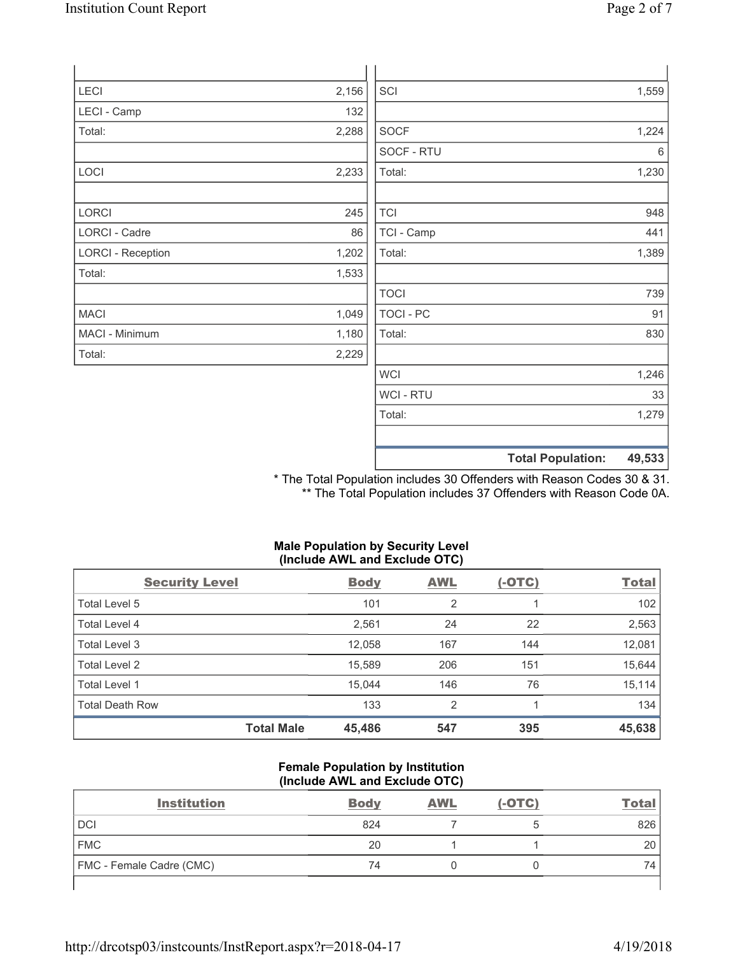| LECI                     | 2,156 | SCI              | 1,559 |
|--------------------------|-------|------------------|-------|
| LECI - Camp              | 132   |                  |       |
| Total:                   | 2,288 | <b>SOCF</b>      | 1,224 |
|                          |       | SOCF - RTU       | 6     |
| LOCI                     | 2,233 | Total:           | 1,230 |
| LORCI                    | 245   | <b>TCI</b>       | 948   |
| LORCI - Cadre            | 86    | TCI - Camp       | 441   |
| <b>LORCI - Reception</b> | 1,202 | Total:           | 1,389 |
| Total:                   | 1,533 |                  |       |
|                          |       | <b>TOCI</b>      | 739   |
| <b>MACI</b>              | 1,049 | <b>TOCI - PC</b> | 91    |
| MACI - Minimum           | 1,180 | Total:           | 830   |
| Total:                   | 2,229 |                  |       |
|                          |       | <b>WCI</b>       | 1,246 |
|                          |       | <b>WCI-RTU</b>   | 33    |
|                          |       |                  |       |

**Total Population: 49,533**

\* The Total Population includes 30 Offenders with Reason Codes 30 & 31. \*\* The Total Population includes 37 Offenders with Reason Code 0A.

Total: 1,279

# **Male Population by Security Level (Include AWL and Exclude OTC)**

| <b>Security Level</b>  |                   | <b>Body</b> | <b>AWL</b> | $(-OTC)$ | <b>Total</b> |
|------------------------|-------------------|-------------|------------|----------|--------------|
| Total Level 5          |                   | 101         | 2          |          | 102          |
| Total Level 4          |                   | 2,561       | 24         | 22       | 2,563        |
| Total Level 3          |                   | 12,058      | 167        | 144      | 12,081       |
| Total Level 2          |                   | 15,589      | 206        | 151      | 15,644       |
| <b>Total Level 1</b>   |                   | 15.044      | 146        | 76       | 15,114       |
| <b>Total Death Row</b> |                   | 133         | 2          |          | 134          |
|                        | <b>Total Male</b> | 45,486      | 547        | 395      | 45,638       |

### **Female Population by Institution (Include AWL and Exclude OTC)**

| <b>Institution</b>       | <b>Body</b> | <b>AWL</b> | $(-OTC)$ | Total |
|--------------------------|-------------|------------|----------|-------|
| DCI                      | 824         |            |          | 826   |
| <b>FMC</b>               | 20          |            |          | 20    |
| FMC - Female Cadre (CMC) | 74          |            |          |       |
|                          |             |            |          |       |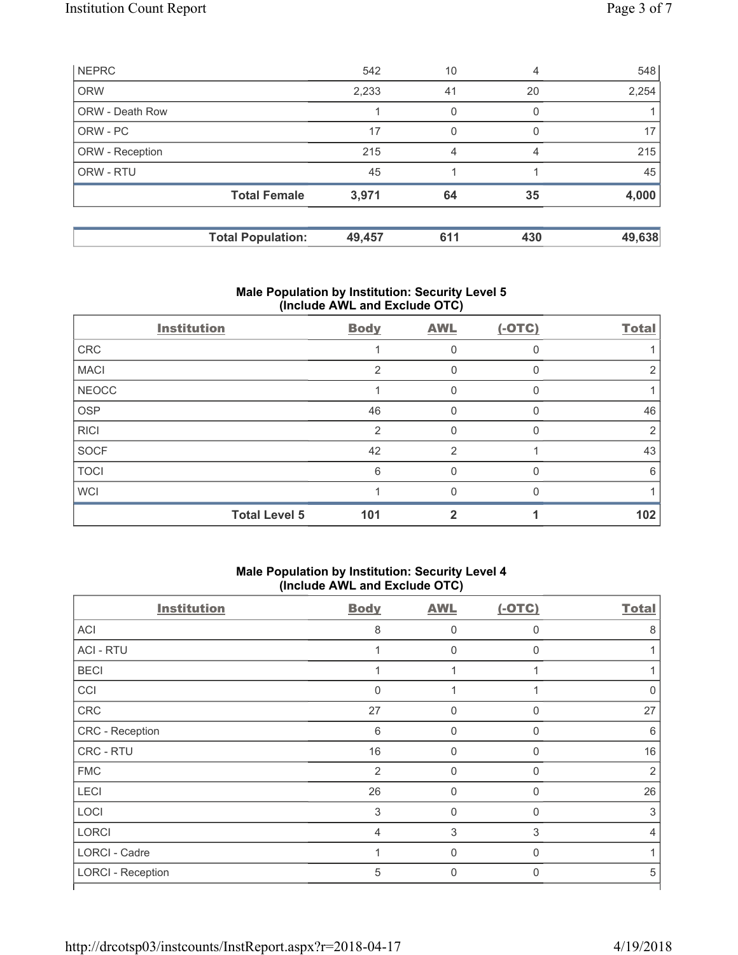| <b>NEPRC</b>           |                          | 542    | 10  | 4        | 548    |
|------------------------|--------------------------|--------|-----|----------|--------|
| <b>ORW</b>             |                          | 2,233  | 41  | 20       | 2,254  |
| <b>ORW - Death Row</b> |                          |        | 0   | 0        |        |
| ORW - PC               |                          | 17     | 0   | $\Omega$ | 17     |
| ORW - Reception        |                          | 215    | 4   | 4        | 215    |
| ORW - RTU              |                          | 45     |     |          | 45     |
|                        | <b>Total Female</b>      | 3,971  | 64  | 35       | 4,000  |
|                        |                          |        |     |          |        |
|                        | <b>Total Population:</b> | 49,457 | 611 | 430      | 49,638 |

# **Male Population by Institution: Security Level 5 (Include AWL and Exclude OTC)**

|              | <b>Institution</b>   | <b>Body</b>   | <b>AWL</b>     | $(-OTC)$     | <b>Total</b> |
|--------------|----------------------|---------------|----------------|--------------|--------------|
| CRC          |                      |               | 0              | $\Omega$     |              |
| <b>MACI</b>  |                      | $\mathcal{P}$ |                |              |              |
| <b>NEOCC</b> |                      |               | ∩              | <sup>n</sup> |              |
| <b>OSP</b>   |                      | 46            | 0              |              | 46           |
| <b>RICI</b>  |                      | $\mathcal{P}$ |                |              |              |
| SOCF         |                      | 42            | $\overline{2}$ |              | 43           |
| <b>TOCI</b>  |                      | 6             |                |              | 6            |
| <b>WCI</b>   |                      |               | U              | $\Omega$     |              |
|              | <b>Total Level 5</b> | 101           |                |              | 102          |

### **Male Population by Institution: Security Level 4 (Include AWL and Exclude OTC)**

| <b>Institution</b>       | <b>Body</b>    | <b>AWL</b>  | $(-OTC)$     | <b>Total</b>   |
|--------------------------|----------------|-------------|--------------|----------------|
| <b>ACI</b>               | 8              | $\mathbf 0$ | 0            | 8              |
| <b>ACI - RTU</b>         |                | $\mathbf 0$ | $\Omega$     |                |
| <b>BECI</b>              |                |             |              |                |
| CCI                      | $\Omega$       |             |              | $\Omega$       |
| CRC                      | 27             | $\mathbf 0$ | $\Omega$     | 27             |
| CRC - Reception          | 6              | $\Omega$    | $\Omega$     | 6              |
| CRC - RTU                | 16             | $\mathbf 0$ | $\Omega$     | 16             |
| <b>FMC</b>               | $\overline{2}$ | $\mathbf 0$ | 0            | $\overline{2}$ |
| <b>LECI</b>              | 26             | $\mathbf 0$ | $\mathbf 0$  | 26             |
| LOCI                     | 3              | $\mathbf 0$ | $\mathbf{0}$ | 3              |
| <b>LORCI</b>             | 4              | 3           | 3            | 4              |
| LORCI - Cadre            |                | $\mathbf 0$ | $\Omega$     |                |
| <b>LORCI - Reception</b> | 5              | $\mathbf 0$ | $\Omega$     | 5              |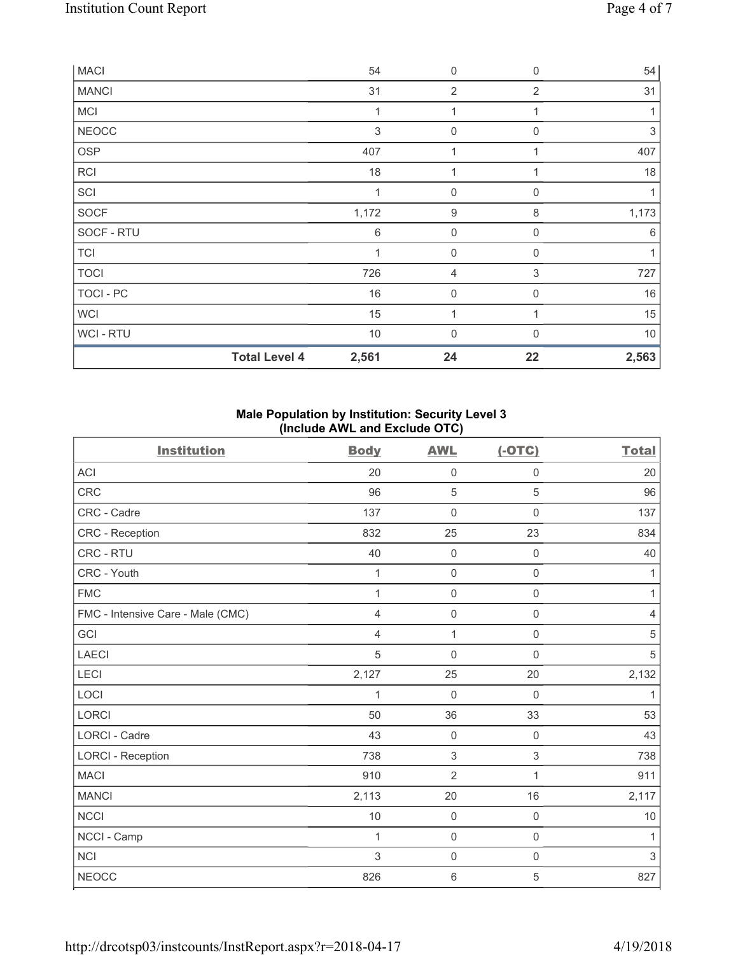| <b>MACI</b>  |                      | 54    | $\mathbf 0$         | $\mathbf 0$               | 54    |
|--------------|----------------------|-------|---------------------|---------------------------|-------|
| <b>MANCI</b> |                      | 31    | $\overline{2}$      | $\overline{2}$            | 31    |
| MCI          |                      | 1     |                     |                           |       |
| <b>NEOCC</b> |                      | 3     | $\mathbf 0$         | $\Omega$                  | 3     |
| <b>OSP</b>   |                      | 407   |                     |                           | 407   |
| <b>RCI</b>   |                      | 18    | 1                   | 1                         | 18    |
| SCI          |                      | 1     | $\mathsf{O}\xspace$ | $\mathbf 0$               |       |
| SOCF         |                      | 1,172 | $\boldsymbol{9}$    | $\,8\,$                   | 1,173 |
| SOCF - RTU   |                      | 6     | $\mathsf{O}\xspace$ | 0                         | 6     |
| <b>TCI</b>   |                      | 1     | $\mathsf{O}\xspace$ | $\mathbf 0$               | 1     |
| <b>TOCI</b>  |                      | 726   | 4                   | $\ensuremath{\mathsf{3}}$ | 727   |
| TOCI - PC    |                      | 16    | $\mathsf{O}\xspace$ | $\mathbf 0$               | 16    |
| WCI          |                      | 15    | 1                   |                           | 15    |
| WCI - RTU    |                      | 10    | 0                   | $\Omega$                  | $10$  |
|              | <b>Total Level 4</b> | 2,561 | 24                  | 22                        | 2,563 |

## **Male Population by Institution: Security Level 3 (Include AWL and Exclude OTC)**

| <b>Institution</b>                | <b>Body</b> | <b>AWL</b>          | $(-OTC)$            | <b>Total</b>   |
|-----------------------------------|-------------|---------------------|---------------------|----------------|
| <b>ACI</b>                        | 20          | 0                   | 0                   | 20             |
| <b>CRC</b>                        | 96          | 5                   | 5                   | 96             |
| CRC - Cadre                       | 137         | $\mathsf 0$         | $\mathsf 0$         | 137            |
| CRC - Reception                   | 832         | 25                  | 23                  | 834            |
| CRC - RTU                         | 40          | $\mathbf 0$         | 0                   | 40             |
| CRC - Youth                       | 1           | $\mathbf 0$         | $\mathsf 0$         | 1              |
| <b>FMC</b>                        | 1           | $\mathbf 0$         | $\mathsf 0$         | 1              |
| FMC - Intensive Care - Male (CMC) | 4           | $\mathsf{O}\xspace$ | $\mathsf{O}\xspace$ | $\overline{4}$ |
| GCI                               | 4           | $\mathbf{1}$        | $\mathsf 0$         | 5              |
| <b>LAECI</b>                      | 5           | $\mathbf 0$         | $\Omega$            | 5              |
| LECI                              | 2,127       | 25                  | 20                  | 2,132          |
| LOCI                              | 1           | $\mathbf 0$         | $\mathsf 0$         | $\mathbf{1}$   |
| <b>LORCI</b>                      | 50          | 36                  | 33                  | 53             |
| <b>LORCI - Cadre</b>              | 43          | $\mathbf 0$         | $\mathsf{O}\xspace$ | 43             |
| <b>LORCI - Reception</b>          | 738         | $\sqrt{3}$          | 3                   | 738            |
| <b>MACI</b>                       | 910         | $\overline{2}$      | 1                   | 911            |
| <b>MANCI</b>                      | 2,113       | 20                  | 16                  | 2,117          |
| <b>NCCI</b>                       | 10          | $\mathbf 0$         | 0                   | 10             |
| NCCI - Camp                       | 1           | $\mathsf{O}\xspace$ | $\mathsf 0$         | 1              |
| <b>NCI</b>                        | 3           | $\mathbf 0$         | $\mathsf 0$         | 3              |
| <b>NEOCC</b>                      | 826         | $\,6\,$             | 5                   | 827            |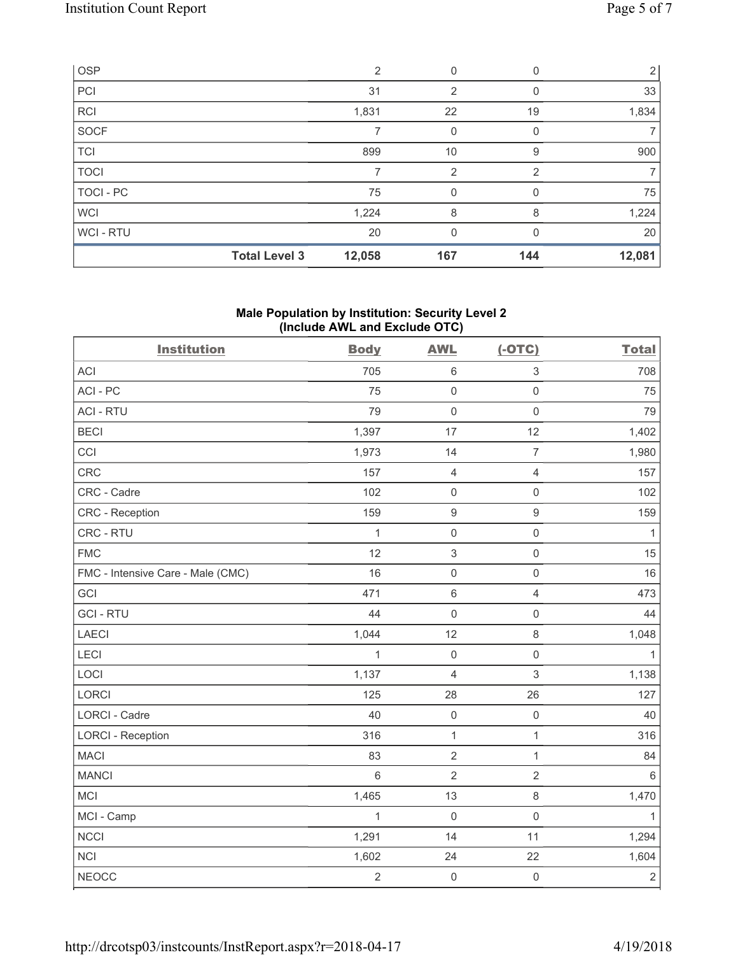| OSP         |                      | 2      | 0              | 0   | 2 <sup>1</sup> |
|-------------|----------------------|--------|----------------|-----|----------------|
| PC          |                      | 31     | $\overline{2}$ | 0   | 33             |
| <b>RCI</b>  |                      | 1,831  | 22             | 19  | 1,834          |
| SOCF        |                      |        | 0              |     |                |
| TCI         |                      | 899    | 10             | 9   | 900            |
| <b>TOCI</b> |                      |        | $\overline{2}$ | 2   | 7              |
| TOCI - PC   |                      | 75     | 0              |     | 75             |
| <b>WCI</b>  |                      | 1,224  | 8              | 8   | 1,224          |
| WCI-RTU     |                      | 20     | 0              | 0   | 20             |
|             | <b>Total Level 3</b> | 12,058 | 167            | 144 | 12,081         |

## **Male Population by Institution: Security Level 2 (Include AWL and Exclude OTC)**

| <b>Institution</b>                | <b>Body</b>    | <b>AWL</b>          | $(-OTC)$            | <b>Total</b> |
|-----------------------------------|----------------|---------------------|---------------------|--------------|
| <b>ACI</b>                        | 705            | $6\,$               | $\,$ 3 $\,$         | 708          |
| ACI-PC                            | 75             | $\mathbf 0$         | $\mathsf{O}\xspace$ | 75           |
| <b>ACI - RTU</b>                  | 79             | $\mathbf 0$         | $\mathsf{O}\xspace$ | 79           |
| <b>BECI</b>                       | 1,397          | 17                  | 12                  | 1,402        |
| CCI                               | 1,973          | 14                  | $\overline{7}$      | 1,980        |
| CRC                               | 157            | $\overline{4}$      | $\overline{4}$      | 157          |
| CRC - Cadre                       | 102            | $\mathsf{O}\xspace$ | $\mathsf 0$         | 102          |
| CRC - Reception                   | 159            | $\boldsymbol{9}$    | $\mathsf g$         | 159          |
| CRC - RTU                         | 1              | $\mathsf{O}\xspace$ | $\mathsf{O}\xspace$ | $\mathbf{1}$ |
| <b>FMC</b>                        | 12             | $\,$ 3 $\,$         | $\mathsf 0$         | 15           |
| FMC - Intensive Care - Male (CMC) | 16             | $\mathsf{O}\xspace$ | $\mathsf{O}\xspace$ | 16           |
| GCI                               | 471            | $\,6\,$             | $\overline{4}$      | 473          |
| <b>GCI-RTU</b>                    | 44             | $\mathbf 0$         | $\mathsf{O}\xspace$ | 44           |
| <b>LAECI</b>                      | 1,044          | 12                  | $\,8\,$             | 1,048        |
| LECI                              | $\mathbf{1}$   | $\mathsf{O}\xspace$ | $\mathsf{O}\xspace$ | $\mathbf{1}$ |
| LOCI                              | 1,137          | $\overline{4}$      | $\mathfrak{S}$      | 1,138        |
| LORCI                             | 125            | 28                  | 26                  | 127          |
| LORCI - Cadre                     | 40             | $\mathsf{O}\xspace$ | $\mathsf{O}\xspace$ | 40           |
| <b>LORCI - Reception</b>          | 316            | $\mathbf{1}$        | $\mathbf{1}$        | 316          |
| <b>MACI</b>                       | 83             | $\sqrt{2}$          | $\mathbf{1}$        | 84           |
| <b>MANCI</b>                      | $6\,$          | $\overline{2}$      | $\overline{2}$      | 6            |
| <b>MCI</b>                        | 1,465          | 13                  | $\,8\,$             | 1,470        |
| MCI - Camp                        | $\mathbf{1}$   | $\mathbf 0$         | $\mathsf{O}\xspace$ | 1            |
| <b>NCCI</b>                       | 1,291          | 14                  | 11                  | 1,294        |
| <b>NCI</b>                        | 1,602          | 24                  | 22                  | 1,604        |
| <b>NEOCC</b>                      | $\overline{2}$ | $\mathbf 0$         | $\mathsf{O}\xspace$ | $\sqrt{2}$   |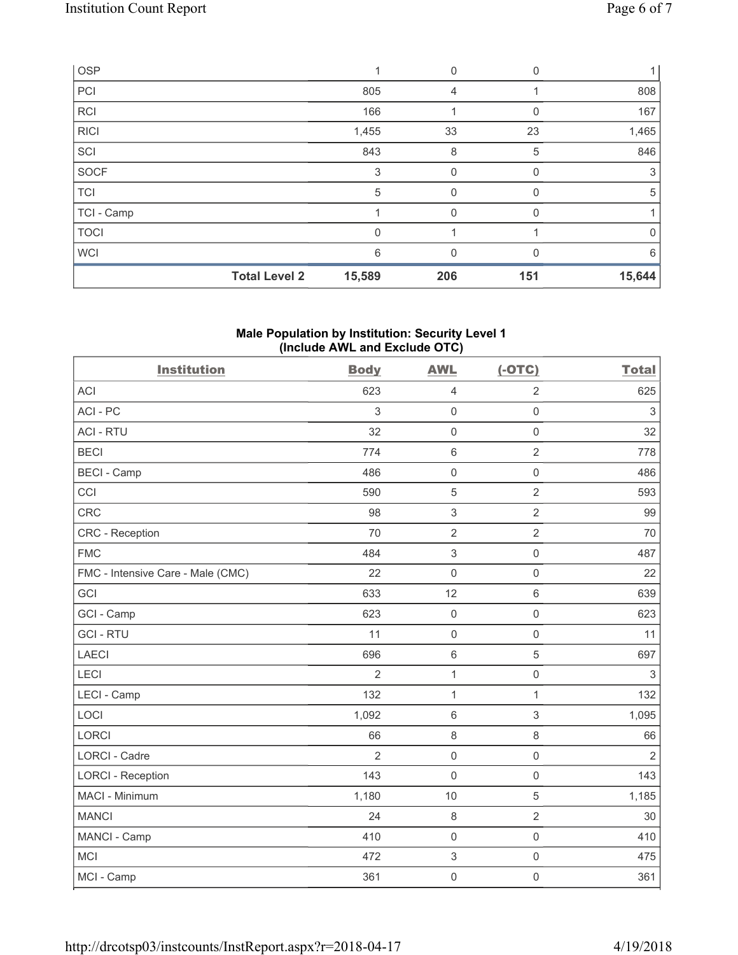| OSP         |                      |              | 0   | 0   |             |
|-------------|----------------------|--------------|-----|-----|-------------|
| PCI         |                      | 805          | 4   |     | 808         |
| RCI         |                      | 166          |     |     | 167         |
| RICI        |                      | 1,455        | 33  | 23  | 1,465       |
| SCI         |                      | 843          | 8   | 5   | 846         |
| SOCF        |                      | 3            | 0   | 0   | 3           |
| <b>TCI</b>  |                      | 5            | 0   | O   | 5           |
| TCI - Camp  |                      |              | 0   |     |             |
| <b>TOCI</b> |                      | $\mathbf{0}$ |     |     | $\mathbf 0$ |
| <b>WCI</b>  |                      | 6            | 0   |     | 6           |
|             | <b>Total Level 2</b> | 15,589       | 206 | 151 | 15,644      |

# **Male Population by Institution: Security Level 1 (Include AWL and Exclude OTC)**

| <b>Institution</b>                | <b>Body</b>    | <b>AWL</b>                | $(-OTC)$            | <b>Total</b>   |
|-----------------------------------|----------------|---------------------------|---------------------|----------------|
| <b>ACI</b>                        | 623            | $\overline{4}$            | $\overline{2}$      | 625            |
| ACI-PC                            | 3              | $\mathsf{O}\xspace$       | $\mathsf{O}\xspace$ | $\sqrt{3}$     |
| <b>ACI - RTU</b>                  | 32             | $\mathsf 0$               | $\mathbf 0$         | 32             |
| <b>BECI</b>                       | 774            | $\,6\,$                   | $\overline{2}$      | 778            |
| <b>BECI</b> - Camp                | 486            | $\mathsf{O}\xspace$       | $\mathsf{O}\xspace$ | 486            |
| CCI                               | 590            | $\sqrt{5}$                | $\overline{2}$      | 593            |
| <b>CRC</b>                        | 98             | $\mathsf 3$               | $\overline{2}$      | 99             |
| CRC - Reception                   | 70             | $\overline{2}$            | $\overline{2}$      | 70             |
| <b>FMC</b>                        | 484            | $\,$ 3 $\,$               | $\mathsf 0$         | 487            |
| FMC - Intensive Care - Male (CMC) | 22             | $\mathsf 0$               | $\mathsf 0$         | 22             |
| GCI                               | 633            | 12                        | $\,6\,$             | 639            |
| GCI - Camp                        | 623            | $\mathsf{O}\xspace$       | $\mathsf 0$         | 623            |
| <b>GCI-RTU</b>                    | 11             | $\mathsf{O}\xspace$       | $\mathsf 0$         | 11             |
| <b>LAECI</b>                      | 696            | $\,6\,$                   | $\sqrt{5}$          | 697            |
| <b>LECI</b>                       | $\overline{2}$ | $\mathbf{1}$              | $\mathsf{O}\xspace$ | $\mathfrak{S}$ |
| LECI - Camp                       | 132            | $\mathbf 1$               | $\mathbf{1}$        | 132            |
| LOCI                              | 1,092          | $\,6\,$                   | $\sqrt{3}$          | 1,095          |
| <b>LORCI</b>                      | 66             | 8                         | 8                   | 66             |
| <b>LORCI - Cadre</b>              | $\overline{2}$ | $\mathsf{O}\xspace$       | $\mathsf 0$         | $\overline{2}$ |
| <b>LORCI - Reception</b>          | 143            | $\mathsf{O}\xspace$       | $\mathsf 0$         | 143            |
| MACI - Minimum                    | 1,180          | 10                        | 5                   | 1,185          |
| <b>MANCI</b>                      | 24             | $\,8\,$                   | $\overline{2}$      | 30             |
| MANCI - Camp                      | 410            | $\mathsf{O}\xspace$       | $\mathsf{O}\xspace$ | 410            |
| <b>MCI</b>                        | 472            | $\ensuremath{\mathsf{3}}$ | $\mathsf{O}\xspace$ | 475            |
| MCI - Camp                        | 361            | $\mathsf{O}\xspace$       | $\mathsf{O}\xspace$ | 361            |